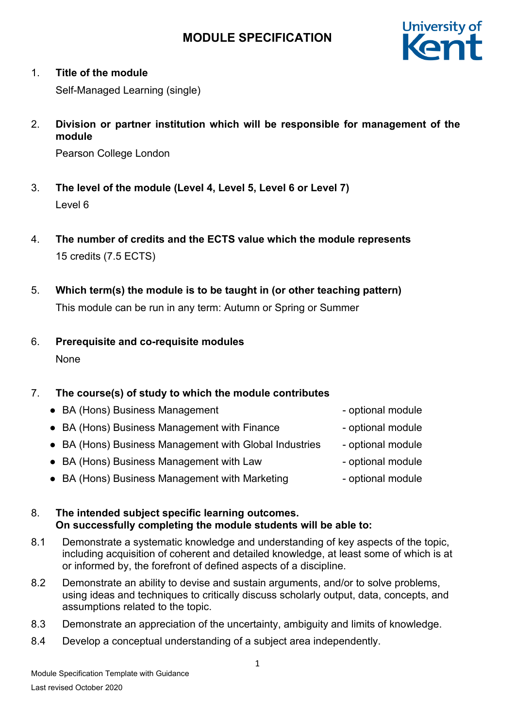

## 1. **Title of the module**

Self-Managed Learning (single)

2. **Division or partner institution which will be responsible for management of the module**

Pearson College London

- 3. **The level of the module (Level 4, Level 5, Level 6 or Level 7)** Level 6
- 4. **The number of credits and the ECTS value which the module represents**  15 credits (7.5 ECTS)
- 5. **Which term(s) the module is to be taught in (or other teaching pattern)** This module can be run in any term: Autumn or Spring or Summer
- 6. **Prerequisite and co-requisite modules** None

## 7. **The course(s) of study to which the module contributes**

- BA (Hons) Business Management optional module
- BA (Hons) Business Management with Finance optional module
- BA (Hons) Business Management with Global Industries optional module
- BA (Hons) Business Management with Law optional module
- BA (Hons) Business Management with Marketing Fig. 2016 optional module
- 
- 
- 
- -
- 8. **The intended subject specific learning outcomes. On successfully completing the module students will be able to:**
- 8.1 Demonstrate a systematic knowledge and understanding of key aspects of the topic, including acquisition of coherent and detailed knowledge, at least some of which is at or informed by, the forefront of defined aspects of a discipline.
- 8.2 Demonstrate an ability to devise and sustain arguments, and/or to solve problems, using ideas and techniques to critically discuss scholarly output, data, concepts, and assumptions related to the topic.
- 8.3 Demonstrate an appreciation of the uncertainty, ambiguity and limits of knowledge.
- 8.4 Develop a conceptual understanding of a subject area independently.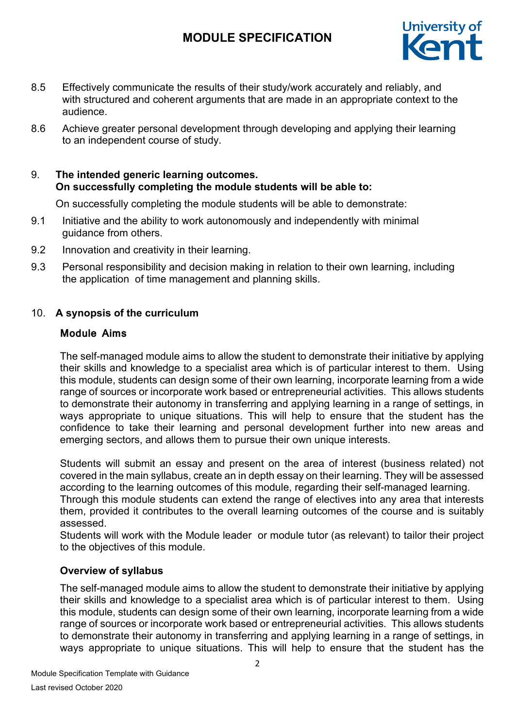

- 8.5 Effectively communicate the results of their study/work accurately and reliably, and with structured and coherent arguments that are made in an appropriate context to the audience.
- 8.6 Achieve greater personal development through developing and applying their learning to an independent course of study.

## 9. **The intended generic learning outcomes. On successfully completing the module students will be able to:**

On successfully completing the module students will be able to demonstrate:

- 9.1 Initiative and the ability to work autonomously and independently with minimal guidance from others.
- 9.2 Innovation and creativity in their learning.
- 9.3 Personal responsibility and decision making in relation to their own learning, including the application of time management and planning skills.

### 10. **A synopsis of the curriculum**

### **Module Aims**

The self-managed module aims to allow the student to demonstrate their initiative by applying their skills and knowledge to a specialist area which is of particular interest to them. Using this module, students can design some of their own learning, incorporate learning from a wide range of sources or incorporate work based or entrepreneurial activities. This allows students to demonstrate their autonomy in transferring and applying learning in a range of settings, in ways appropriate to unique situations. This will help to ensure that the student has the confidence to take their learning and personal development further into new areas and emerging sectors, and allows them to pursue their own unique interests.

Students will submit an essay and present on the area of interest (business related) not covered in the main syllabus, create an in depth essay on their learning. They will be assessed according to the learning outcomes of this module, regarding their self-managed learning.

Through this module students can extend the range of electives into any area that interests them, provided it contributes to the overall learning outcomes of the course and is suitably assessed.

Students will work with the Module leader or module tutor (as relevant) to tailor their project to the objectives of this module.

### **Overview of syllabus**

The self-managed module aims to allow the student to demonstrate their initiative by applying their skills and knowledge to a specialist area which is of particular interest to them. Using this module, students can design some of their own learning, incorporate learning from a wide range of sources or incorporate work based or entrepreneurial activities. This allows students to demonstrate their autonomy in transferring and applying learning in a range of settings, in ways appropriate to unique situations. This will help to ensure that the student has the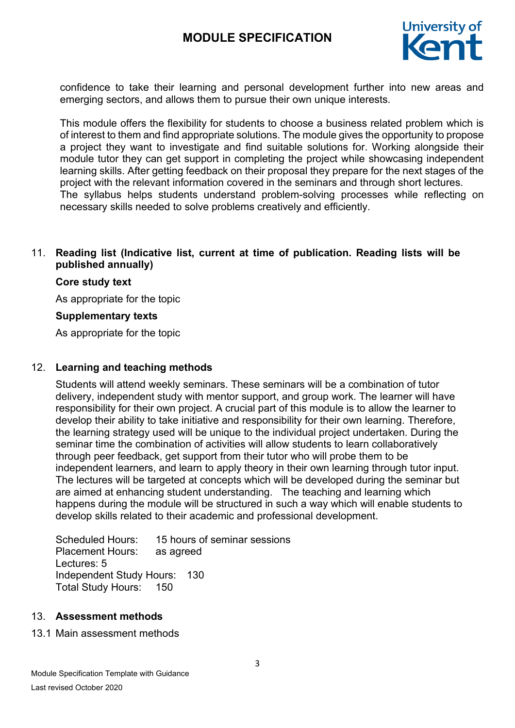

confidence to take their learning and personal development further into new areas and emerging sectors, and allows them to pursue their own unique interests.

This module offers the flexibility for students to choose a business related problem which is of interest to them and find appropriate solutions. The module gives the opportunity to propose a project they want to investigate and find suitable solutions for. Working alongside their module tutor they can get support in completing the project while showcasing independent learning skills. After getting feedback on their proposal they prepare for the next stages of the project with the relevant information covered in the seminars and through short lectures. The syllabus helps students understand problem-solving processes while reflecting on necessary skills needed to solve problems creatively and efficiently.

### 11. **Reading list (Indicative list, current at time of publication. Reading lists will be published annually)**

#### **Core study text**

As appropriate for the topic

#### **Supplementary texts**

As appropriate for the topic

#### 12. **Learning and teaching methods**

Students will attend weekly seminars. These seminars will be a combination of tutor delivery, independent study with mentor support, and group work. The learner will have responsibility for their own project. A crucial part of this module is to allow the learner to develop their ability to take initiative and responsibility for their own learning. Therefore, the learning strategy used will be unique to the individual project undertaken. During the seminar time the combination of activities will allow students to learn collaboratively through peer feedback, get support from their tutor who will probe them to be independent learners, and learn to apply theory in their own learning through tutor input. The lectures will be targeted at concepts which will be developed during the seminar but are aimed at enhancing student understanding. The teaching and learning which happens during the module will be structured in such a way which will enable students to develop skills related to their academic and professional development.

Scheduled Hours: 15 hours of seminar sessions Placement Hours: as agreed Lectures: 5 Independent Study Hours: 130 Total Study Hours: 150

#### 13. **Assessment methods**

#### 13.1 Main assessment methods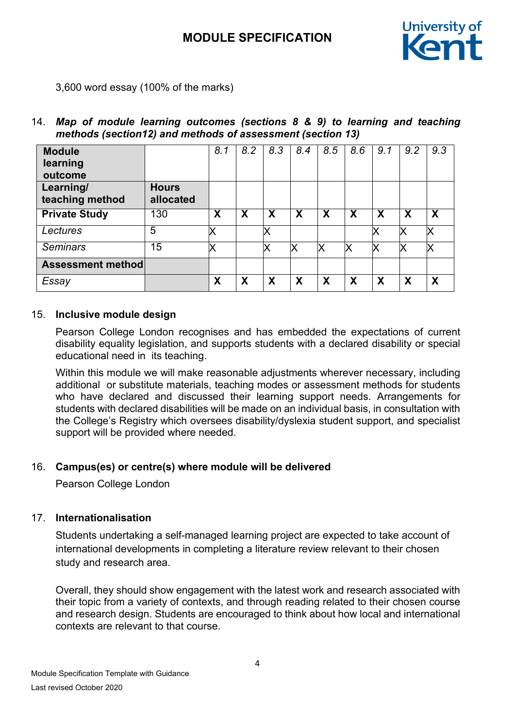

3,600 word essay (100% of the marks)

## 14. *Map of module learning outcomes (sections 8 & 9) to learning and teaching methods (section12) and methods of assessment (section 13)*

| <b>Module</b><br>learning<br>outcome |                           | 8.1                       | 8.2 | 8.3 | 8.4                       | 8.5                       | 8.6 | 9.1 | 9.2                       | 9.3 |
|--------------------------------------|---------------------------|---------------------------|-----|-----|---------------------------|---------------------------|-----|-----|---------------------------|-----|
| Learning/<br>teaching method         | <b>Hours</b><br>allocated |                           |     |     |                           |                           |     |     |                           |     |
| <b>Private Study</b>                 | 130                       | $\boldsymbol{\mathsf{X}}$ | Χ   | X   | $\boldsymbol{\mathsf{X}}$ | $\boldsymbol{\mathsf{X}}$ | X   | X   | $\boldsymbol{\mathsf{X}}$ | X   |
| Lectures                             | 5                         |                           |     |     |                           |                           |     |     |                           | Х   |
| <b>Seminars</b>                      | 15                        |                           |     |     | X                         | x                         | X   | ΙX  |                           | Х   |
| <b>Assessment method</b>             |                           |                           |     |     |                           |                           |     |     |                           |     |
| Essay                                |                           | X                         | Χ   | X   | X                         | X                         | X   | Χ   | $\boldsymbol{\mathsf{x}}$ | X   |

### 15. **Inclusive module design**

Pearson College London recognises and has embedded the expectations of current disability equality legislation, and supports students with a declared disability or special educational need in its teaching.

Within this module we will make reasonable adjustments wherever necessary, including additional or substitute materials, teaching modes or assessment methods for students who have declared and discussed their learning support needs. Arrangements for students with declared disabilities will be made on an individual basis, in consultation with the College's Registry which oversees disability/dyslexia student support, and specialist support will be provided where needed.

## 16. **Campus(es) or centre(s) where module will be delivered**

Pearson College London

## 17. **Internationalisation**

Students undertaking a self-managed learning project are expected to take account of international developments in completing a literature review relevant to their chosen study and research area.

Overall, they should show engagement with the latest work and research associated with their topic from a variety of contexts, and through reading related to their chosen course and research design. Students are encouraged to think about how local and international contexts are relevant to that course.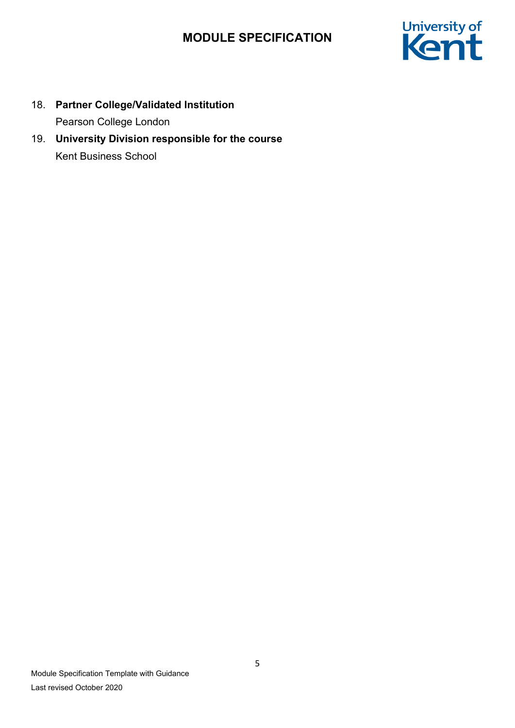

- 18. **Partner College/Validated Institution** Pearson College London
- 19. **University Division responsible for the course** Kent Business School